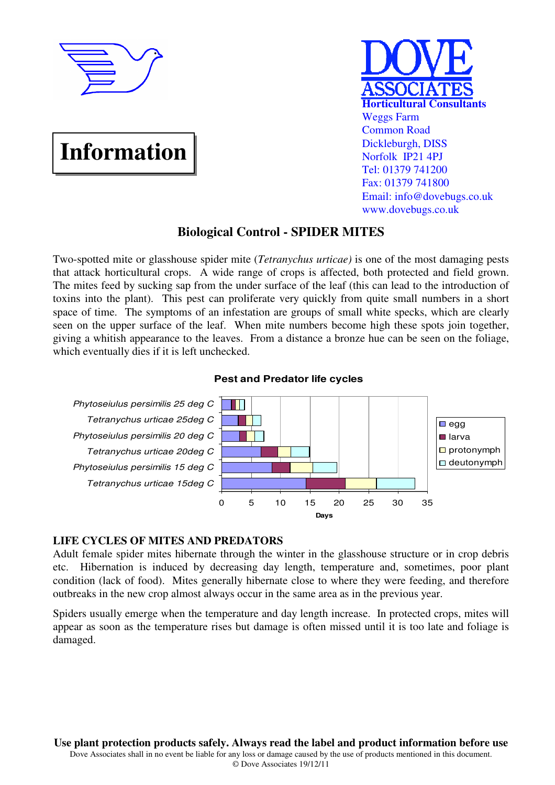

# **Information**



## **Biological Control - SPIDER MITES**

Two-spotted mite or glasshouse spider mite (*Tetranychus urticae)* is one of the most damaging pests that attack horticultural crops. A wide range of crops is affected, both protected and field grown. The mites feed by sucking sap from the under surface of the leaf (this can lead to the introduction of toxins into the plant). This pest can proliferate very quickly from quite small numbers in a short space of time. The symptoms of an infestation are groups of small white specks, which are clearly seen on the upper surface of the leaf. When mite numbers become high these spots join together, giving a whitish appearance to the leaves. From a distance a bronze hue can be seen on the foliage, which eventually dies if it is left unchecked.

## **Pest and Predator life cycles**



## **LIFE CYCLES OF MITES AND PREDATORS**

Adult female spider mites hibernate through the winter in the glasshouse structure or in crop debris etc. Hibernation is induced by decreasing day length, temperature and, sometimes, poor plant condition (lack of food). Mites generally hibernate close to where they were feeding, and therefore outbreaks in the new crop almost always occur in the same area as in the previous year.

Spiders usually emerge when the temperature and day length increase. In protected crops, mites will appear as soon as the temperature rises but damage is often missed until it is too late and foliage is damaged.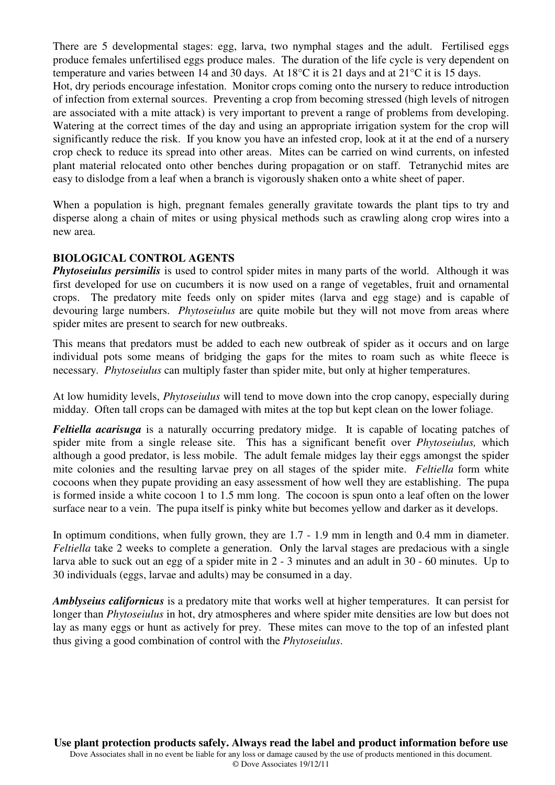There are 5 developmental stages: egg, larva, two nymphal stages and the adult. Fertilised eggs produce females unfertilised eggs produce males. The duration of the life cycle is very dependent on temperature and varies between 14 and 30 days. At 18°C it is 21 days and at 21°C it is 15 days. Hot, dry periods encourage infestation. Monitor crops coming onto the nursery to reduce introduction of infection from external sources. Preventing a crop from becoming stressed (high levels of nitrogen are associated with a mite attack) is very important to prevent a range of problems from developing. Watering at the correct times of the day and using an appropriate irrigation system for the crop will significantly reduce the risk. If you know you have an infested crop, look at it at the end of a nursery crop check to reduce its spread into other areas. Mites can be carried on wind currents, on infested plant material relocated onto other benches during propagation or on staff. Tetranychid mites are easy to dislodge from a leaf when a branch is vigorously shaken onto a white sheet of paper.

When a population is high, pregnant females generally gravitate towards the plant tips to try and disperse along a chain of mites or using physical methods such as crawling along crop wires into a new area.

## **BIOLOGICAL CONTROL AGENTS**

*Phytoseiulus persimilis* is used to control spider mites in many parts of the world. Although it was first developed for use on cucumbers it is now used on a range of vegetables, fruit and ornamental crops. The predatory mite feeds only on spider mites (larva and egg stage) and is capable of devouring large numbers. *Phytoseiulus* are quite mobile but they will not move from areas where spider mites are present to search for new outbreaks.

This means that predators must be added to each new outbreak of spider as it occurs and on large individual pots some means of bridging the gaps for the mites to roam such as white fleece is necessary. *Phytoseiulus* can multiply faster than spider mite, but only at higher temperatures.

At low humidity levels, *Phytoseiulus* will tend to move down into the crop canopy, especially during midday. Often tall crops can be damaged with mites at the top but kept clean on the lower foliage.

*Feltiella acarisuga* is a naturally occurring predatory midge. It is capable of locating patches of spider mite from a single release site. This has a significant benefit over *Phytoseiulus,* which although a good predator, is less mobile. The adult female midges lay their eggs amongst the spider mite colonies and the resulting larvae prey on all stages of the spider mite. *Feltiella* form white cocoons when they pupate providing an easy assessment of how well they are establishing. The pupa is formed inside a white cocoon 1 to 1.5 mm long. The cocoon is spun onto a leaf often on the lower surface near to a vein. The pupa itself is pinky white but becomes yellow and darker as it develops.

In optimum conditions, when fully grown, they are 1.7 - 1.9 mm in length and 0.4 mm in diameter. *Feltiella* take 2 weeks to complete a generation. Only the larval stages are predacious with a single larva able to suck out an egg of a spider mite in 2 - 3 minutes and an adult in 30 - 60 minutes. Up to 30 individuals (eggs, larvae and adults) may be consumed in a day.

*Amblyseius californicus* is a predatory mite that works well at higher temperatures. It can persist for longer than *Phytoseiulus* in hot, dry atmospheres and where spider mite densities are low but does not lay as many eggs or hunt as actively for prey. These mites can move to the top of an infested plant thus giving a good combination of control with the *Phytoseiulus*.